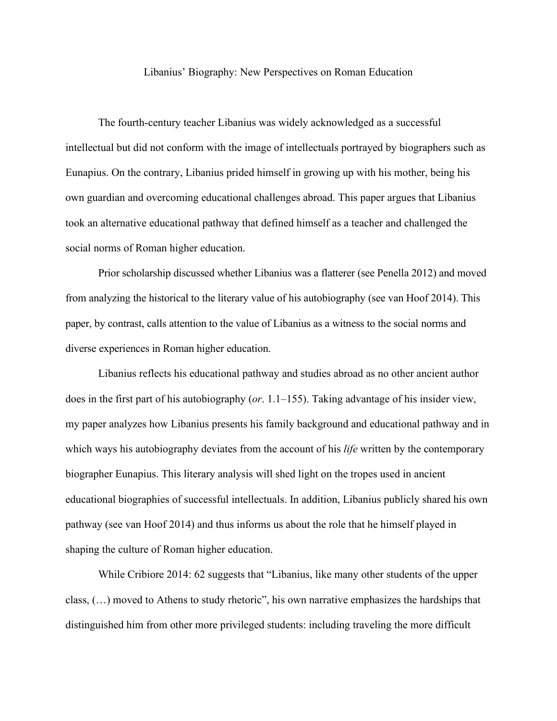## Libanius' Biography: New Perspectives on Roman Education

The fourth-century teacher Libanius was widely acknowledged as a successful intellectual but did not conform with the image of intellectuals portrayed by biographers such as Eunapius. On the contrary, Libanius prided himself in growing up with his mother, being his own guardian and overcoming educational challenges abroad. This paper argues that Libanius took an alternative educational pathway that defined himself as a teacher and challenged the social norms of Roman higher education.

Prior scholarship discussed whether Libanius was a flatterer (see Penella 2012) and moved from analyzing the historical to the literary value of his autobiography (see van Hoof 2014). This paper, by contrast, calls attention to the value of Libanius as a witness to the social norms and diverse experiences in Roman higher education.

Libanius reflects his educational pathway and studies abroad as no other ancient author does in the first part of his autobiography (*or*. 1.1–155). Taking advantage of his insider view, my paper analyzes how Libanius presents his family background and educational pathway and in which ways his autobiography deviates from the account of his *life* written by the contemporary biographer Eunapius. This literary analysis will shed light on the tropes used in ancient educational biographies of successful intellectuals. In addition, Libanius publicly shared his own pathway (see van Hoof 2014) and thus informs us about the role that he himself played in shaping the culture of Roman higher education.

 While Cribiore 2014: 62 suggests that "Libanius, like many other students of the upper class, (…) moved to Athens to study rhetoric", his own narrative emphasizes the hardships that distinguished him from other more privileged students: including traveling the more difficult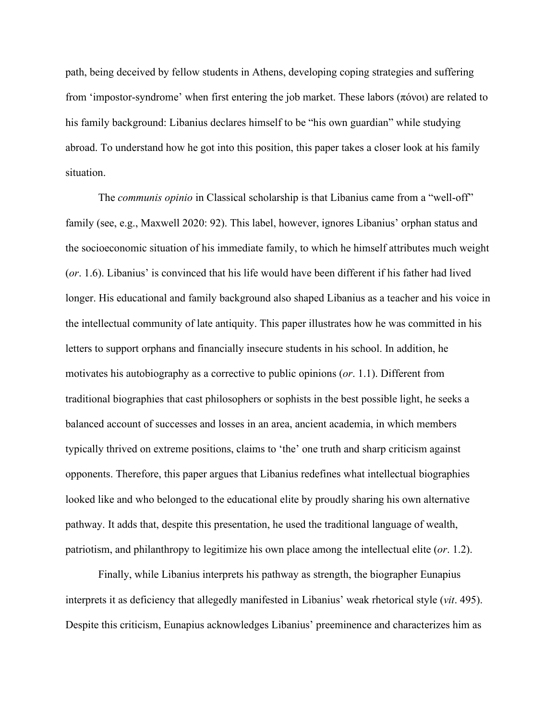path, being deceived by fellow students in Athens, developing coping strategies and suffering from 'impostor-syndrome' when first entering the job market. These labors (πόνοι) are related to his family background: Libanius declares himself to be "his own guardian" while studying abroad. To understand how he got into this position, this paper takes a closer look at his family situation.

The *communis opinio* in Classical scholarship is that Libanius came from a "well-off" family (see, e.g., Maxwell 2020: 92). This label, however, ignores Libanius' orphan status and the socioeconomic situation of his immediate family, to which he himself attributes much weight (*or*. 1.6). Libanius' is convinced that his life would have been different if his father had lived longer. His educational and family background also shaped Libanius as a teacher and his voice in the intellectual community of late antiquity. This paper illustrates how he was committed in his letters to support orphans and financially insecure students in his school. In addition, he motivates his autobiography as a corrective to public opinions (*or*. 1.1). Different from traditional biographies that cast philosophers or sophists in the best possible light, he seeks a balanced account of successes and losses in an area, ancient academia, in which members typically thrived on extreme positions, claims to 'the' one truth and sharp criticism against opponents. Therefore, this paper argues that Libanius redefines what intellectual biographies looked like and who belonged to the educational elite by proudly sharing his own alternative pathway. It adds that, despite this presentation, he used the traditional language of wealth, patriotism, and philanthropy to legitimize his own place among the intellectual elite (*or*. 1.2).

Finally, while Libanius interprets his pathway as strength, the biographer Eunapius interprets it as deficiency that allegedly manifested in Libanius' weak rhetorical style (*vit*. 495). Despite this criticism, Eunapius acknowledges Libanius' preeminence and characterizes him as